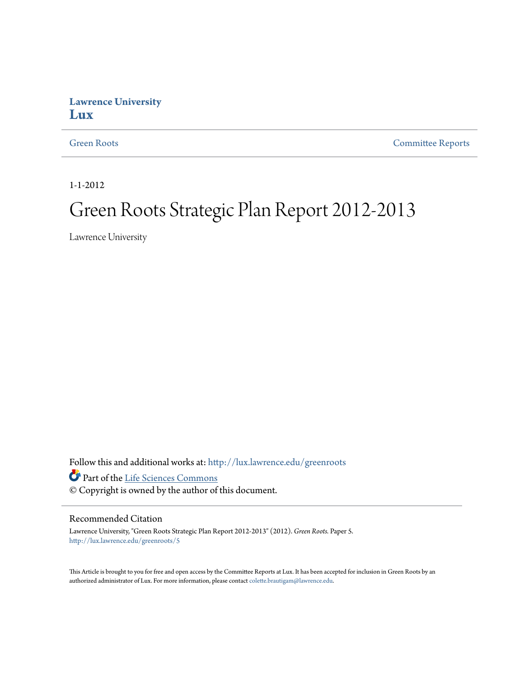#### **Lawrence University [Lux](http://lux.lawrence.edu?utm_source=lux.lawrence.edu%2Fgreenroots%2F5&utm_medium=PDF&utm_campaign=PDFCoverPages)**

[Green Roots](http://lux.lawrence.edu/greenroots?utm_source=lux.lawrence.edu%2Fgreenroots%2F5&utm_medium=PDF&utm_campaign=PDFCoverPages) [Committee Reports](http://lux.lawrence.edu/committee_reports?utm_source=lux.lawrence.edu%2Fgreenroots%2F5&utm_medium=PDF&utm_campaign=PDFCoverPages)

1-1-2012

## Green Roots Strategic Plan Report 2012-2013

Lawrence University

Follow this and additional works at: [http://lux.lawrence.edu/greenroots](http://lux.lawrence.edu/greenroots?utm_source=lux.lawrence.edu%2Fgreenroots%2F5&utm_medium=PDF&utm_campaign=PDFCoverPages) Part of the [Life Sciences Commons](http://network.bepress.com/hgg/discipline/1016?utm_source=lux.lawrence.edu%2Fgreenroots%2F5&utm_medium=PDF&utm_campaign=PDFCoverPages)

© Copyright is owned by the author of this document.

#### Recommended Citation

Lawrence University, "Green Roots Strategic Plan Report 2012-2013" (2012). *Green Roots.* Paper 5. [http://lux.lawrence.edu/greenroots/5](http://lux.lawrence.edu/greenroots/5?utm_source=lux.lawrence.edu%2Fgreenroots%2F5&utm_medium=PDF&utm_campaign=PDFCoverPages)

This Article is brought to you for free and open access by the Committee Reports at Lux. It has been accepted for inclusion in Green Roots by an authorized administrator of Lux. For more information, please contact [colette.brautigam@lawrence.edu.](mailto:colette.brautigam@lawrence.edu)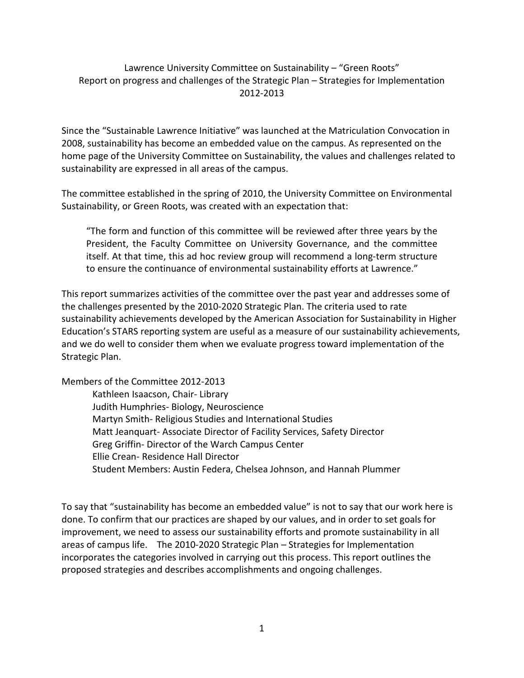#### Lawrence University Committee on Sustainability – "Green Roots" Report on progress and challenges of the Strategic Plan – Strategies for Implementation 2012-2013

Since the "Sustainable Lawrence Initiative" was launched at the Matriculation Convocation in 2008, sustainability has become an embedded value on the campus. As represented on the home page of the University Committee on Sustainability, the values and challenges related to sustainability are expressed in all areas of the campus.

The committee established in the spring of 2010, the University Committee on Environmental Sustainability, or Green Roots, was created with an expectation that:

"The form and function of this committee will be reviewed after three years by the President, the Faculty Committee on University Governance, and the committee itself. At that time, this ad hoc review group will recommend a long-term structure to ensure the continuance of environmental sustainability efforts at Lawrence."

This report summarizes activities of the committee over the past year and addresses some of the challenges presented by the 2010-2020 Strategic Plan. The criteria used to rate sustainability achievements developed by the American Association for Sustainability in Higher Education's STARS reporting system are useful as a measure of our sustainability achievements, and we do well to consider them when we evaluate progress toward implementation of the Strategic Plan.

Members of the Committee 2012-2013

Kathleen Isaacson, Chair- Library Judith Humphries- Biology, Neuroscience Martyn Smith- Religious Studies and International Studies Matt Jeanquart- Associate Director of Facility Services, Safety Director Greg Griffin- Director of the Warch Campus Center Ellie Crean- Residence Hall Director Student Members: Austin Federa, Chelsea Johnson, and Hannah Plummer

To say that "sustainability has become an embedded value" is not to say that our work here is done. To confirm that our practices are shaped by our values, and in order to set goals for improvement, we need to assess our sustainability efforts and promote sustainability in all areas of campus life. The 2010-2020 Strategic Plan – Strategies for Implementation incorporates the categories involved in carrying out this process. This report outlines the proposed strategies and describes accomplishments and ongoing challenges.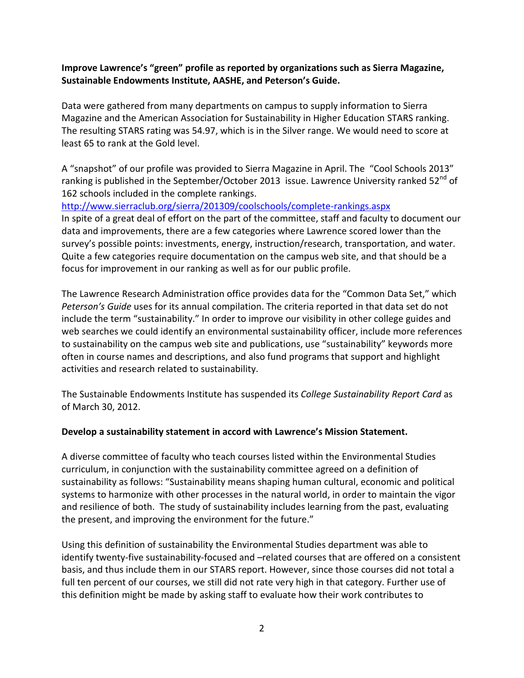#### **Improve Lawrence's "green" profile as reported by organizations such as Sierra Magazine, Sustainable Endowments Institute, AASHE, and Peterson's Guide.**

Data were gathered from many departments on campus to supply information to Sierra Magazine and the American Association for Sustainability in Higher Education STARS ranking. The resulting STARS rating was 54.97, which is in the Silver range. We would need to score at least 65 to rank at the Gold level.

A "snapshot" of our profile was provided to Sierra Magazine in April. The "Cool Schools 2013" ranking is published in the September/October 2013 issue. Lawrence University ranked 52<sup>nd</sup> of 162 schools included in the complete rankings.

<http://www.sierraclub.org/sierra/201309/coolschools/complete-rankings.aspx> In spite of a great deal of effort on the part of the committee, staff and faculty to document our

data and improvements, there are a few categories where Lawrence scored lower than the survey's possible points: investments, energy, instruction/research, transportation, and water. Quite a few categories require documentation on the campus web site, and that should be a focus for improvement in our ranking as well as for our public profile.

The Lawrence Research Administration office provides data for the "Common Data Set," which *Peterson's Guide* uses for its annual compilation. The criteria reported in that data set do not include the term "sustainability." In order to improve our visibility in other college guides and web searches we could identify an environmental sustainability officer, include more references to sustainability on the campus web site and publications, use "sustainability" keywords more often in course names and descriptions, and also fund programs that support and highlight activities and research related to sustainability.

The Sustainable Endowments Institute has suspended its *College Sustainability Report Card* as of March 30, 2012.

#### **Develop a sustainability statement in accord with Lawrence's Mission Statement.**

A diverse committee of faculty who teach courses listed within the Environmental Studies curriculum, in conjunction with the sustainability committee agreed on a definition of sustainability as follows: "Sustainability means shaping human cultural, economic and political systems to harmonize with other processes in the natural world, in order to maintain the vigor and resilience of both. The study of sustainability includes learning from the past, evaluating the present, and improving the environment for the future."

Using this definition of sustainability the Environmental Studies department was able to identify twenty-five sustainability-focused and –related courses that are offered on a consistent basis, and thus include them in our STARS report. However, since those courses did not total a full ten percent of our courses, we still did not rate very high in that category. Further use of this definition might be made by asking staff to evaluate how their work contributes to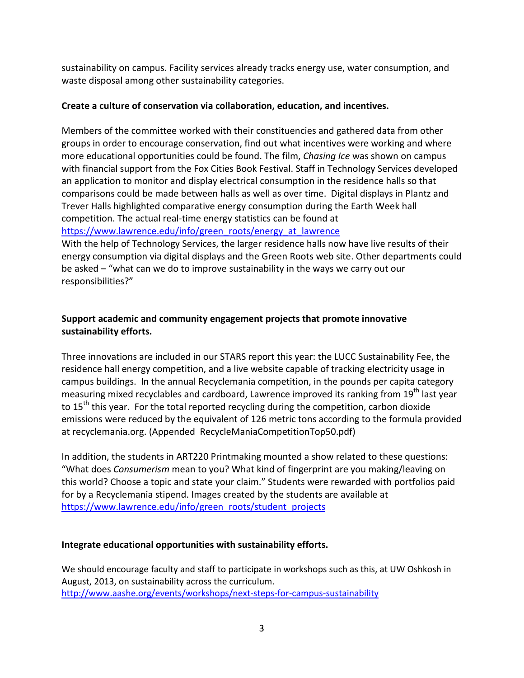sustainability on campus. Facility services already tracks energy use, water consumption, and waste disposal among other sustainability categories.

#### **Create a culture of conservation via collaboration, education, and incentives.**

Members of the committee worked with their constituencies and gathered data from other groups in order to encourage conservation, find out what incentives were working and where more educational opportunities could be found. The film, *Chasing Ice* was shown on campus with financial support from the Fox Cities Book Festival. Staff in Technology Services developed an application to monitor and display electrical consumption in the residence halls so that comparisons could be made between halls as well as over time. Digital displays in Plantz and Trever Halls highlighted comparative energy consumption during the Earth Week hall competition. The actual real-time energy statistics can be found at [https://www.lawrence.edu/info/green\\_roots/energy\\_at\\_lawrence](https://www.lawrence.edu/info/green_roots/energy_at_lawrence)

With the help of Technology Services, the larger residence halls now have live results of their energy consumption via digital displays and the Green Roots web site. Other departments could be asked – "what can we do to improve sustainability in the ways we carry out our responsibilities?"

#### **Support academic and community engagement projects that promote innovative sustainability efforts.**

Three innovations are included in our STARS report this year: the LUCC Sustainability Fee, the residence hall energy competition, and a live website capable of tracking electricity usage in campus buildings. In the annual Recyclemania competition, in the pounds per capita category measuring mixed recyclables and cardboard, Lawrence improved its ranking from  $19<sup>th</sup>$  last year to  $15<sup>th</sup>$  this year. For the total reported recycling during the competition, carbon dioxide emissions were reduced by the equivalent of 126 metric tons according to the formula provided at recyclemania.org. (Appended RecycleManiaCompetitionTop50.pdf)

In addition, the students in ART220 Printmaking mounted a show related to these questions: "What does *Consumerism* mean to you? What kind of fingerprint are you making/leaving on this world? Choose a topic and state your claim." Students were rewarded with portfolios paid for by a Recyclemania stipend. Images created by the students are available at [https://www.lawrence.edu/info/green\\_roots/student\\_projects](https://www.lawrence.edu/info/green_roots/student_projects)

#### **Integrate educational opportunities with sustainability efforts.**

We should encourage faculty and staff to participate in workshops such as this, at UW Oshkosh in August, 2013, on sustainability across the curriculum. <http://www.aashe.org/events/workshops/next-steps-for-campus-sustainability>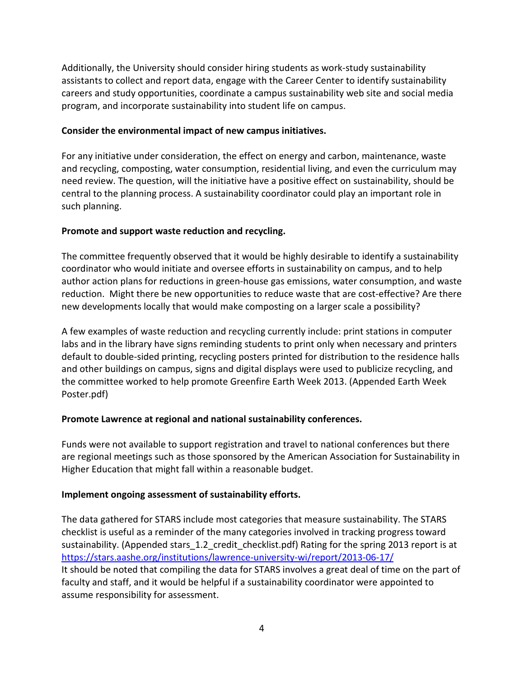Additionally, the University should consider hiring students as work-study sustainability assistants to collect and report data, engage with the Career Center to identify sustainability careers and study opportunities, coordinate a campus sustainability web site and social media program, and incorporate sustainability into student life on campus.

#### **Consider the environmental impact of new campus initiatives.**

For any initiative under consideration, the effect on energy and carbon, maintenance, waste and recycling, composting, water consumption, residential living, and even the curriculum may need review. The question, will the initiative have a positive effect on sustainability, should be central to the planning process. A sustainability coordinator could play an important role in such planning.

#### **Promote and support waste reduction and recycling.**

The committee frequently observed that it would be highly desirable to identify a sustainability coordinator who would initiate and oversee efforts in sustainability on campus, and to help author action plans for reductions in green-house gas emissions, water consumption, and waste reduction. Might there be new opportunities to reduce waste that are cost-effective? Are there new developments locally that would make composting on a larger scale a possibility?

A few examples of waste reduction and recycling currently include: print stations in computer labs and in the library have signs reminding students to print only when necessary and printers default to double-sided printing, recycling posters printed for distribution to the residence halls and other buildings on campus, signs and digital displays were used to publicize recycling, and the committee worked to help promote Greenfire Earth Week 2013. (Appended Earth Week Poster.pdf)

#### **Promote Lawrence at regional and national sustainability conferences.**

Funds were not available to support registration and travel to national conferences but there are regional meetings such as those sponsored by the American Association for Sustainability in Higher Education that might fall within a reasonable budget.

#### **Implement ongoing assessment of sustainability efforts.**

The data gathered for STARS include most categories that measure sustainability. The STARS checklist is useful as a reminder of the many categories involved in tracking progress toward sustainability. (Appended stars 1.2 credit checklist.pdf) Rating for the spring 2013 report is at <https://stars.aashe.org/institutions/lawrence-university-wi/report/2013-06-17/> It should be noted that compiling the data for STARS involves a great deal of time on the part of faculty and staff, and it would be helpful if a sustainability coordinator were appointed to assume responsibility for assessment.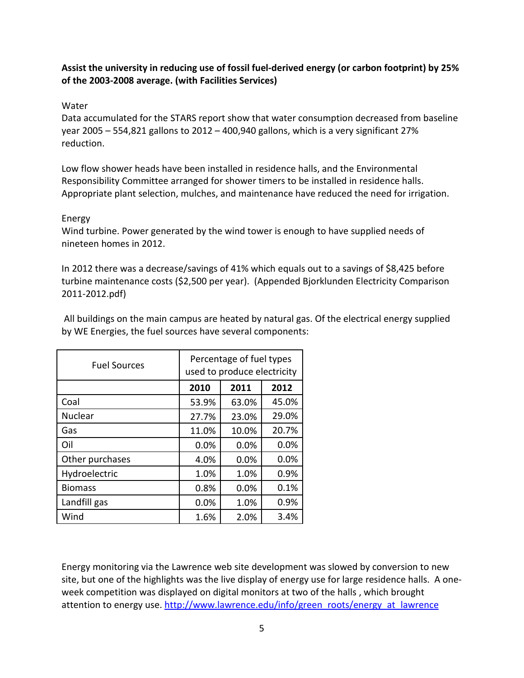#### **Assist the university in reducing use of fossil fuel-derived energy (or carbon footprint) by 25% of the 2003-2008 average. (with Facilities Services)**

#### Water

Data accumulated for the STARS report show that water consumption decreased from baseline year 2005 – 554,821 gallons to 2012 – 400,940 gallons, which is a very significant 27% reduction.

Low flow shower heads have been installed in residence halls, and the Environmental Responsibility Committee arranged for shower timers to be installed in residence halls. Appropriate plant selection, mulches, and maintenance have reduced the need for irrigation.

#### Energy

Wind turbine. Power generated by the wind tower is enough to have supplied needs of nineteen homes in 2012.

In 2012 there was a decrease/savings of 41% which equals out to a savings of \$8,425 before turbine maintenance costs (\$2,500 per year). (Appended Bjorklunden Electricity Comparison 2011-2012.pdf)

| <b>Fuel Sources</b> | Percentage of fuel types<br>used to produce electricity |       |       |  |  |  |
|---------------------|---------------------------------------------------------|-------|-------|--|--|--|
|                     | 2010                                                    | 2011  | 2012  |  |  |  |
| Coal                | 53.9%                                                   | 63.0% | 45.0% |  |  |  |
| <b>Nuclear</b>      | 27.7%                                                   | 23.0% | 29.0% |  |  |  |
| Gas                 | 11.0%                                                   | 10.0% | 20.7% |  |  |  |
| Oil                 | 0.0%                                                    | 0.0%  | 0.0%  |  |  |  |
| Other purchases     | 4.0%                                                    | 0.0%  | 0.0%  |  |  |  |
| Hydroelectric       | 1.0%                                                    | 1.0%  | 0.9%  |  |  |  |
| <b>Biomass</b>      | 0.8%                                                    | 0.0%  | 0.1%  |  |  |  |
| Landfill gas        | 0.0%                                                    | 1.0%  | 0.9%  |  |  |  |
| Wind                | 1.6%                                                    | 2.0%  | 3.4%  |  |  |  |

All buildings on the main campus are heated by natural gas. Of the electrical energy supplied by WE Energies, the fuel sources have several components:

Energy monitoring via the Lawrence web site development was slowed by conversion to new site, but one of the highlights was the live display of energy use for large residence halls. A oneweek competition was displayed on digital monitors at two of the halls , which brought attention to energy use. [http://www.lawrence.edu/info/green\\_roots/energy\\_at\\_lawrence](http://www.lawrence.edu/info/green_roots/energy_at_lawrence)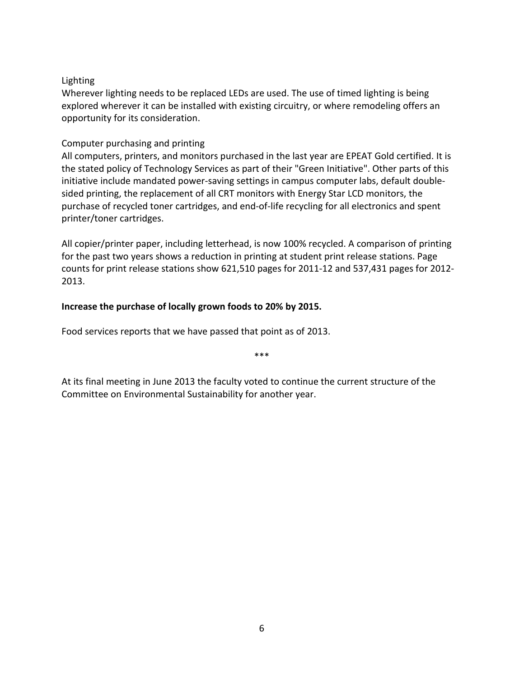#### Lighting

Wherever lighting needs to be replaced LEDs are used. The use of timed lighting is being explored wherever it can be installed with existing circuitry, or where remodeling offers an opportunity for its consideration.

#### Computer purchasing and printing

All computers, printers, and monitors purchased in the last year are EPEAT Gold certified. It is the stated policy of Technology Services as part of their "Green Initiative". Other parts of this initiative include mandated power-saving settings in campus computer labs, default doublesided printing, the replacement of all CRT monitors with Energy Star LCD monitors, the purchase of recycled toner cartridges, and end-of-life recycling for all electronics and spent printer/toner cartridges.

All copier/printer paper, including letterhead, is now 100% recycled. A comparison of printing for the past two years shows a reduction in printing at student print release stations. Page counts for print release stations show 621,510 pages for 2011-12 and 537,431 pages for 2012- 2013.

#### **Increase the purchase of locally grown foods to 20% by 2015.**

Food services reports that we have passed that point as of 2013.

At its final meeting in June 2013 the faculty voted to continue the current structure of the Committee on Environmental Sustainability for another year.

\*\*\*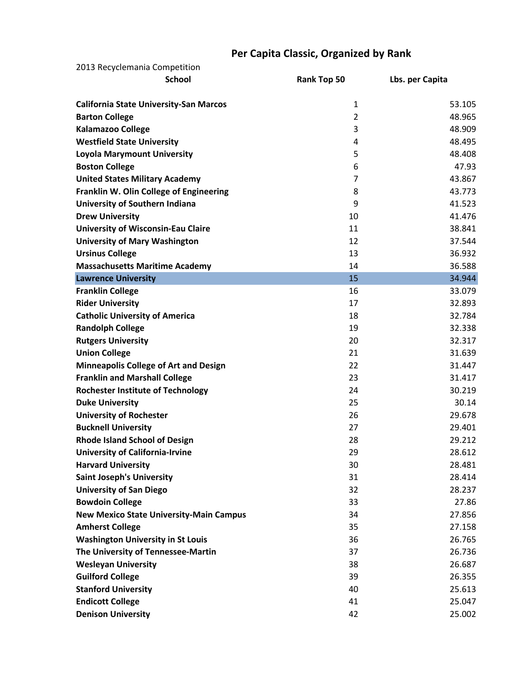### **Per Capita Classic, Organized by Rank**

| 2013 Recyclemania Competition                  |                |                 |
|------------------------------------------------|----------------|-----------------|
| <b>School</b>                                  | Rank Top 50    | Lbs. per Capita |
| <b>California State University-San Marcos</b>  | 1              | 53.105          |
| <b>Barton College</b>                          | $\overline{2}$ | 48.965          |
| <b>Kalamazoo College</b>                       | 3              | 48.909          |
| <b>Westfield State University</b>              | 4              | 48.495          |
| <b>Loyola Marymount University</b>             | 5              | 48.408          |
| <b>Boston College</b>                          | 6              | 47.93           |
| <b>United States Military Academy</b>          | $\overline{7}$ | 43.867          |
| Franklin W. Olin College of Engineering        | 8              | 43.773          |
| University of Southern Indiana                 | 9              | 41.523          |
| <b>Drew University</b>                         | 10             | 41.476          |
| <b>University of Wisconsin-Eau Claire</b>      | 11             | 38.841          |
| <b>University of Mary Washington</b>           | 12             | 37.544          |
| <b>Ursinus College</b>                         | 13             | 36.932          |
| <b>Massachusetts Maritime Academy</b>          | 14             | 36.588          |
| <b>Lawrence University</b>                     | 15             | 34.944          |
| <b>Franklin College</b>                        | 16             | 33.079          |
| <b>Rider University</b>                        | 17             | 32.893          |
| <b>Catholic University of America</b>          | 18             | 32.784          |
| <b>Randolph College</b>                        | 19             | 32.338          |
| <b>Rutgers University</b>                      | 20             | 32.317          |
| <b>Union College</b>                           | 21             | 31.639          |
| <b>Minneapolis College of Art and Design</b>   | 22             | 31.447          |
| <b>Franklin and Marshall College</b>           | 23             | 31.417          |
| <b>Rochester Institute of Technology</b>       | 24             | 30.219          |
| <b>Duke University</b>                         | 25             | 30.14           |
| <b>University of Rochester</b>                 | 26             | 29.678          |
| <b>Bucknell University</b>                     | 27             | 29.401          |
| <b>Rhode Island School of Design</b>           | 28             | 29.212          |
| <b>University of California-Irvine</b>         | 29             | 28.612          |
| <b>Harvard University</b>                      | 30             | 28.481          |
| <b>Saint Joseph's University</b>               | 31             | 28.414          |
| <b>University of San Diego</b>                 | 32             | 28.237          |
| <b>Bowdoin College</b>                         | 33             | 27.86           |
| <b>New Mexico State University-Main Campus</b> | 34             | 27.856          |
| <b>Amherst College</b>                         | 35             | 27.158          |
| <b>Washington University in St Louis</b>       | 36             | 26.765          |
| The University of Tennessee-Martin             | 37             | 26.736          |
| <b>Wesleyan University</b>                     | 38             | 26.687          |
| <b>Guilford College</b>                        | 39             | 26.355          |
| <b>Stanford University</b>                     | 40             | 25.613          |
| <b>Endicott College</b>                        | 41             | 25.047          |
| <b>Denison University</b>                      | 42             | 25.002          |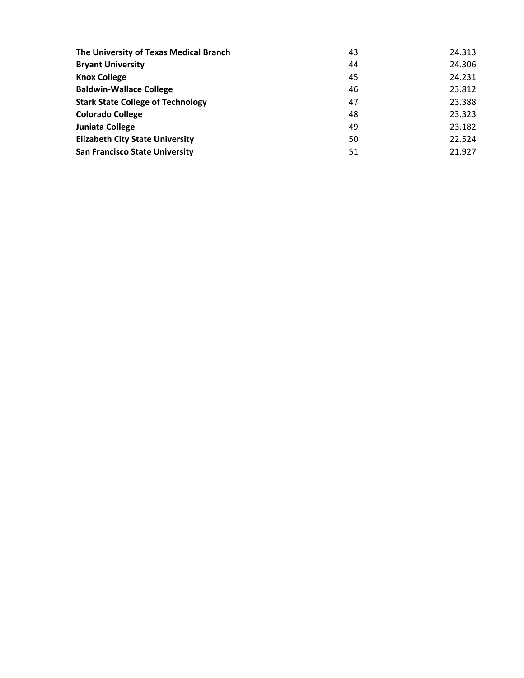| The University of Texas Medical Branch   | 43 | 24.313 |
|------------------------------------------|----|--------|
| <b>Bryant University</b>                 | 44 | 24.306 |
| <b>Knox College</b>                      | 45 | 24.231 |
| <b>Baldwin-Wallace College</b>           | 46 | 23.812 |
| <b>Stark State College of Technology</b> | 47 | 23.388 |
| <b>Colorado College</b>                  | 48 | 23.323 |
| Juniata College                          | 49 | 23.182 |
| <b>Elizabeth City State University</b>   | 50 | 22.524 |
| <b>San Francisco State University</b>    | 51 | 21.927 |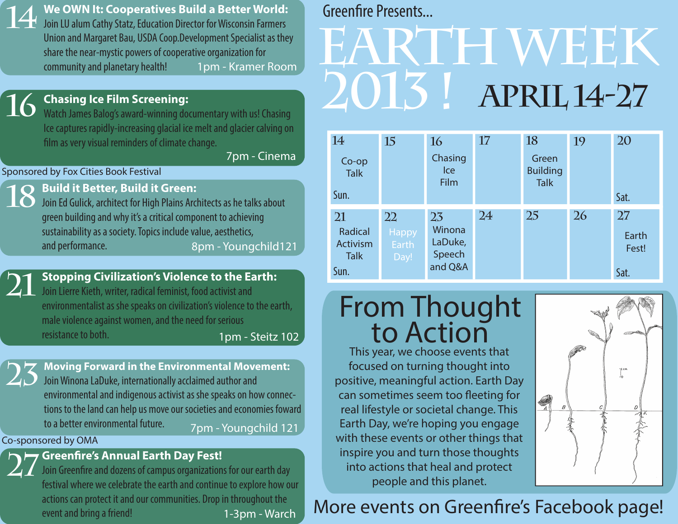**We OWN It: Cooperatives Build a Better World:**

**14**  Join LU alum Cathy Statz, Education Director for Wisconsin Farmers Union and Margaret Bau, USDA Coop.Development Specialist as they share the near-mystic powers of cooperative organization for community and planetary health! 1pm - Kramer Room

#### **Chasing Ice Film Screening:**

Watch James Balog's award-winning documentary with us! Chasing Ice captures rapidly-increasing glacial ice melt and glacier calving on film as very visual reminders of climate change.

7pm - Cinema

#### Sponsored by Fox Cities Book Festival

**16**

**21**

### **18 Build it Better, Build it Green:**

Join Ed Gulick, architect for High Plains Architects as he talks about green building and why it's a critical component to achieving sustainability as a society. Topics include value, aesthetics, and performance. 8pm - Youngchild121

## **Stopping Civilization's Violence to the Earth:**

Join Lierre Kieth, writer, radical feminist, food activist and environmentalist as she speaks on civilization's violence to the earth, male violence against women, and the need for serious resistance to both. 1pm - Steitz 102

**23 Moving Forward in the Environmental Movement:** Join Winona LaDuke, internationally acclaimed author and environmental and indigenous activist as she speaks on how connections to the land can help us move our societies and economies foward to a better environmental future. 7pm - Youngchild 121

#### Co-sponsored by OMA

**27** Greenfire's Annual Earth Day Fest!<br>27 Join Greenfire and dozens of campus organization Join Greenfire and dozens of campus organizations for our earth day festival where we celebrate the earth and continue to explore how our actions can protect it and our communities. Drop in throughout the event and bring a friend! 1-3pm - Warch

## Greenfire Presents...

# **Earth Week 2013 ! aPRIL 14-27**

| 14                                       | 15                                         | 16                                           | 17 | 18                                      | 19 | 20                   |
|------------------------------------------|--------------------------------------------|----------------------------------------------|----|-----------------------------------------|----|----------------------|
| Co-op<br><b>Talk</b>                     |                                            | Chasing<br>Ice<br><b>Film</b>                |    | Green<br><b>Building</b><br><b>Talk</b> |    |                      |
| Sun.                                     |                                            |                                              |    |                                         |    | Sat.                 |
| 21<br>Radical<br>Activism<br><b>Talk</b> | 22<br><b>Happy</b><br><b>Earth</b><br>Day! | 23<br>Winona<br>LaDuke,<br>Speech<br>and Q&A | 24 | 25                                      | 26 | 27<br>Earth<br>Fest! |
| Sun.                                     |                                            |                                              |    |                                         |    | Sat.                 |

# From Thought<br>to Action

This year, we choose events that focused on turning thought into positive, meaningful action. Earth Day can sometimes seem too fleeting for real lifestyle or societal change. This Earth Day, we're hoping you engage with these events or other things that inspire you and turn those thoughts into actions that heal and protect people and this planet.



## More events on Greenfire's Facebook page!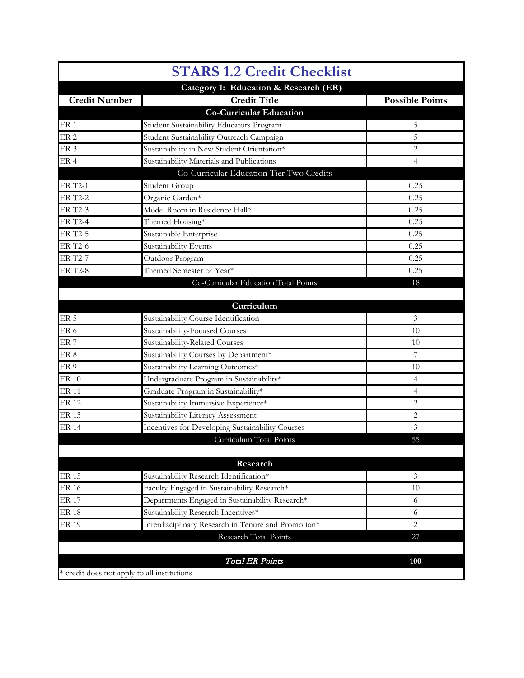|                                             | <b>STARS 1.2 Credit Checklist</b>                   |                        |
|---------------------------------------------|-----------------------------------------------------|------------------------|
|                                             | Category 1: Education & Research (ER)               |                        |
| <b>Credit Number</b>                        | <b>Credit Title</b>                                 | <b>Possible Points</b> |
|                                             | <b>Co-Curricular Education</b>                      |                        |
| ER <sub>1</sub>                             | Student Sustainability Educators Program            | 5                      |
| ER <sub>2</sub>                             | Student Sustainability Outreach Campaign            | 5                      |
| ER <sub>3</sub>                             | Sustainability in New Student Orientation*          | $\overline{c}$         |
| ER <sub>4</sub>                             | Sustainability Materials and Publications           | 4                      |
|                                             | Co-Curricular Education Tier Two Credits            |                        |
| <b>ER T2-1</b>                              | Student Group                                       | 0.25                   |
| <b>ER T2-2</b>                              | Organic Garden*                                     | 0.25                   |
| <b>ER T2-3</b>                              | Model Room in Residence Hall*                       | 0.25                   |
| <b>ER T2-4</b>                              | Themed Housing*                                     | 0.25                   |
| <b>ER T2-5</b>                              | Sustainable Enterprise                              | 0.25                   |
| <b>ER T2-6</b>                              | Sustainability Events                               | 0.25                   |
| <b>ER T2-7</b>                              | Outdoor Program                                     | 0.25                   |
| <b>ER T2-8</b>                              | Themed Semester or Year*                            | 0.25                   |
|                                             | Co-Curricular Education Total Points                | 18                     |
|                                             |                                                     |                        |
|                                             | Curriculum                                          |                        |
| ER <sub>5</sub>                             | Sustainability Course Identification                | 3                      |
| ER <sub>6</sub>                             | Sustainability-Focused Courses                      | 10                     |
| ER <sub>7</sub>                             | Sustainability-Related Courses                      | 10                     |
| ER <sub>8</sub>                             | Sustainability Courses by Department*               | $\overline{7}$         |
| ER <sub>9</sub>                             | Sustainability Learning Outcomes*                   | 10                     |
| <b>ER 10</b>                                | Undergraduate Program in Sustainability*            | $\overline{4}$         |
| <b>ER 11</b>                                | Graduate Program in Sustainability*                 | 4                      |
| <b>ER 12</b>                                | Sustainability Immersive Experience*                | $\overline{c}$         |
| <b>ER 13</b>                                | Sustainability Literacy Assessment                  | $\sqrt{2}$             |
| <b>ER 14</b>                                | Incentives for Developing Sustainability Courses    | 3                      |
|                                             | Curriculum Total Points                             | 55                     |
|                                             |                                                     |                        |
|                                             | Research                                            |                        |
| <b>ER 15</b>                                | Sustainability Research Identification*             | $\mathfrak{Z}$         |
| <b>ER 16</b>                                | Faculty Engaged in Sustainability Research*         | 10                     |
| <b>ER 17</b>                                | Departments Engaged in Sustainability Research*     | 6                      |
| <b>ER 18</b>                                | Sustainability Research Incentives*                 | 6                      |
| <b>ER 19</b>                                | Interdisciplinary Research in Tenure and Promotion* | $\overline{2}$         |
|                                             | Research Total Points                               | 27                     |
|                                             |                                                     |                        |
|                                             | <b>Total ER Points</b>                              | 100                    |
| * credit does not apply to all institutions |                                                     |                        |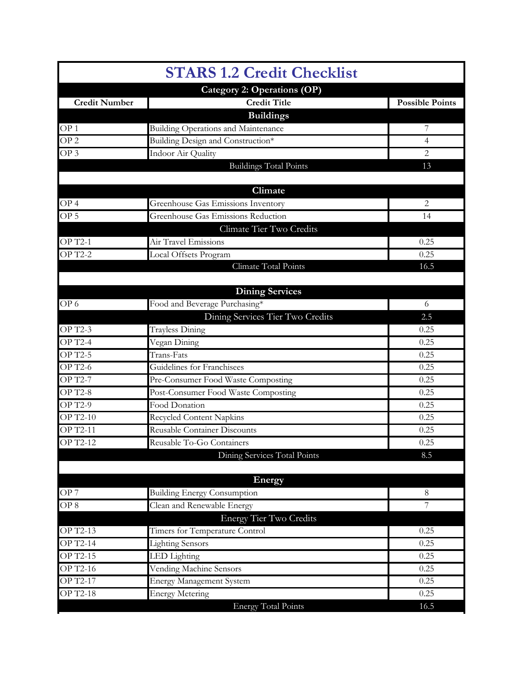|                      | <b>STARS 1.2 Credit Checklist</b>          |                        |
|----------------------|--------------------------------------------|------------------------|
|                      | Category 2: Operations (OP)                |                        |
| <b>Credit Number</b> | <b>Credit Title</b>                        | <b>Possible Points</b> |
|                      | <b>Buildings</b>                           |                        |
| OP <sub>1</sub>      | <b>Building Operations and Maintenance</b> | 7                      |
| OP <sub>2</sub>      | Building Design and Construction*          | $\overline{4}$         |
| OP <sub>3</sub>      | Indoor Air Quality                         | 2                      |
|                      | <b>Buildings Total Points</b>              | 13                     |
|                      |                                            |                        |
|                      | Climate                                    |                        |
| OP <sub>4</sub>      | <b>Greenhouse Gas Emissions Inventory</b>  | 2                      |
| OP <sub>5</sub>      | Greenhouse Gas Emissions Reduction         | 14                     |
|                      | Climate Tier Two Credits                   |                        |
| <b>OP T2-1</b>       | Air Travel Emissions                       | 0.25                   |
| <b>OP T2-2</b>       | Local Offsets Program                      | 0.25                   |
|                      | Climate Total Points                       | 16.5                   |
|                      |                                            |                        |
|                      | <b>Dining Services</b>                     |                        |
| OP <sub>6</sub>      | Food and Beverage Purchasing*              | 6                      |
|                      | Dining Services Tier Two Credits           | 2.5                    |
| <b>OP T2-3</b>       | <b>Trayless Dining</b>                     | 0.25                   |
| <b>OP T2-4</b>       | Vegan Dining                               | 0.25                   |
| <b>OP T2-5</b>       | Trans-Fats                                 | 0.25                   |
| <b>OP T2-6</b>       | Guidelines for Franchisees                 | 0.25                   |
| <b>OP T2-7</b>       | Pre-Consumer Food Waste Composting         | 0.25                   |
| <b>OP T2-8</b>       | Post-Consumer Food Waste Composting        | 0.25                   |
| <b>OP T2-9</b>       | Food Donation                              | 0.25                   |
| <b>OP T2-10</b>      | Recycled Content Napkins                   | 0.25                   |
| <b>OP T2-11</b>      | <b>Reusable Container Discounts</b>        | 0.25                   |
| OP T2-12             | Reusable To-Go Containers                  | 0.25                   |
|                      | Dining Services Total Points               | 8.5                    |
|                      |                                            |                        |
|                      | Energy                                     |                        |
| OP <sub>7</sub>      | <b>Building Energy Consumption</b>         | $8\,$                  |
| OP <sub>8</sub>      | Clean and Renewable Energy                 | 7                      |
|                      | <b>Energy Tier Two Credits</b>             |                        |
| <b>OP T2-13</b>      | Timers for Temperature Control             | 0.25                   |
| OP T2-14             | <b>Lighting Sensors</b>                    | 0.25                   |
| <b>OP T2-15</b>      | LED Lighting                               | 0.25                   |
| OP T2-16             | Vending Machine Sensors                    | 0.25                   |
| OP T2-17             | Energy Management System                   | 0.25                   |
| <b>OP T2-18</b>      | <b>Energy Metering</b>                     | 0.25                   |
|                      | <b>Energy Total Points</b>                 | 16.5                   |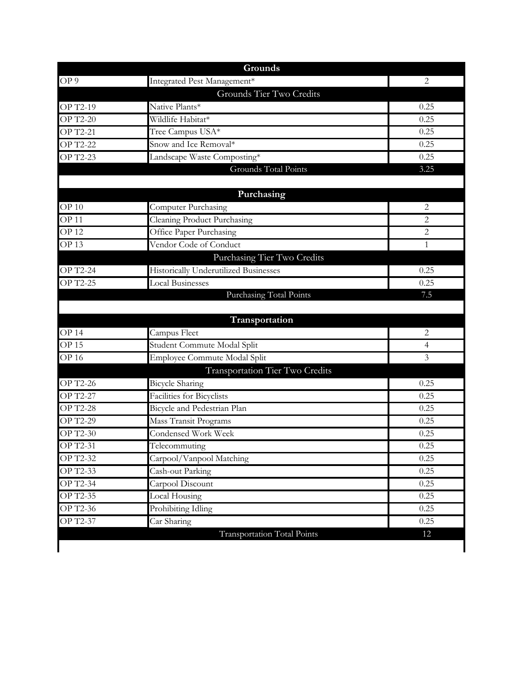|                  | Grounds                                      |                |
|------------------|----------------------------------------------|----------------|
| OP9              | Integrated Pest Management*                  | $\overline{2}$ |
|                  | Grounds Tier Two Credits                     |                |
| OP T2-19         | Native Plants*                               | 0.25           |
| <b>OP T2-20</b>  | Wildlife Habitat*                            | 0.25           |
| <b>OP T2-21</b>  | Tree Campus USA*                             | 0.25           |
| <b>OP T2-22</b>  | Snow and Ice Removal*                        | 0.25           |
| <b>OP T2-23</b>  | Landscape Waste Composting*                  | 0.25           |
|                  | Grounds Total Points                         | 3.25           |
|                  | Purchasing                                   |                |
| <b>OP 10</b>     | <b>Computer Purchasing</b>                   | 2              |
| OP <sub>11</sub> | <b>Cleaning Product Purchasing</b>           | 2              |
| <b>OP12</b>      | Office Paper Purchasing                      | 2              |
| OP13             | Vendor Code of Conduct                       | $\mathbf{1}$   |
|                  | Purchasing Tier Two Credits                  |                |
| OP T2-24         | <b>Historically Underutilized Businesses</b> | 0.25           |
| <b>OP T2-25</b>  | <b>Local Businesses</b>                      | 0.25           |
|                  | <b>Purchasing Total Points</b>               | 7.5            |
|                  |                                              |                |
|                  | Transportation                               |                |
| <b>OP 14</b>     | Campus Fleet                                 | 2              |
| <b>OP15</b>      | Student Commute Modal Split                  | 4              |
| <b>OP16</b>      | Employee Commute Modal Split                 | 3              |
|                  | Transportation Tier Two Credits              |                |
| <b>OP T2-26</b>  | <b>Bicycle</b> Sharing                       | 0.25           |
| <b>OP T2-27</b>  | Facilities for Bicyclists                    | 0.25           |
| <b>OP T2-28</b>  | Bicycle and Pedestrian Plan                  | 0.25           |
| <b>OP T2-29</b>  | Mass Transit Programs                        | 0.25           |
| OP T2-30         | Condensed Work Week                          | 0.25           |
| OP T2-31         | Telecommuting                                | 0.25           |
| OP T2-32         | Carpool/Vanpool Matching                     | 0.25           |
| OP T2-33         | Cash-out Parking                             | 0.25           |
| OP T2-34         | Carpool Discount                             | 0.25           |
| OP T2-35         | Local Housing                                | 0.25           |
|                  |                                              |                |
| <b>OP T2-36</b>  | Prohibiting Idling                           | 0.25           |
| OP T2-37         | Car Sharing                                  | 0.25           |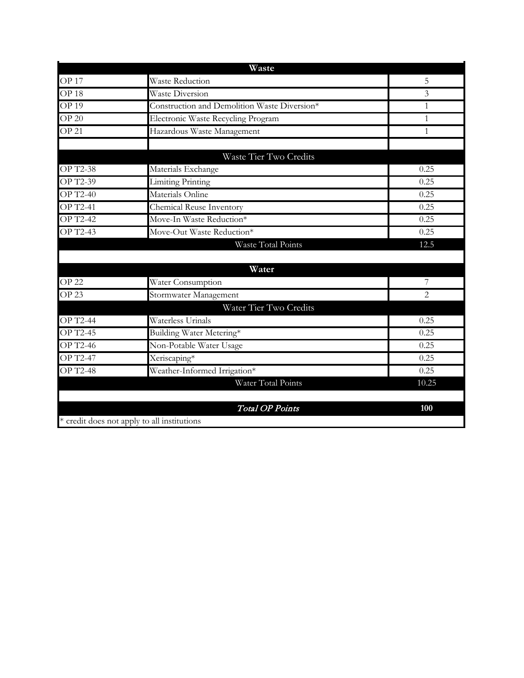|                  | Waste                                        |       |
|------------------|----------------------------------------------|-------|
| <b>OP17</b>      | <b>Waste Reduction</b>                       | 5     |
| OP <sub>18</sub> | <b>Waste Diversion</b>                       | 3     |
| <b>OP 19</b>     | Construction and Demolition Waste Diversion* | 1     |
| $OP$ 20          | Electronic Waste Recycling Program           | 1     |
| OP <sub>21</sub> | Hazardous Waste Management                   | 1     |
|                  |                                              |       |
|                  | Waste Tier Two Credits                       |       |
| <b>OP T2-38</b>  | Materials Exchange                           | 0.25  |
| <b>OP T2-39</b>  | <b>Limiting Printing</b>                     | 0.25  |
| OP T2-40         | Materials Online                             | 0.25  |
| <b>OP T2-41</b>  | Chemical Reuse Inventory                     | 0.25  |
| <b>OP T2-42</b>  | Move-In Waste Reduction*                     | 0.25  |
| OP T2-43         | Move-Out Waste Reduction*                    | 0.25  |
|                  | Waste Total Points                           | 12.5  |
|                  |                                              |       |
|                  | Water                                        |       |
| <b>OP 22</b>     | Water Consumption                            | 7     |
| <b>OP 23</b>     | Stormwater Management                        | 2     |
|                  | Water Tier Two Credits                       |       |
| <b>OP T2-44</b>  | Waterless Urinals                            | 0.25  |
| <b>OP T2-45</b>  | Building Water Metering*                     | 0.25  |
| <b>OP T2-46</b>  | Non-Potable Water Usage                      | 0.25  |
| <b>OP T2-47</b>  | Xeriscaping*                                 | 0.25  |
| <b>OP T2-48</b>  | Weather-Informed Irrigation*                 | 0.25  |
|                  | Water Total Points                           | 10.25 |
|                  |                                              |       |
|                  | <b>Total OP Points</b>                       | 100   |
|                  | * credit does not apply to all institutions  |       |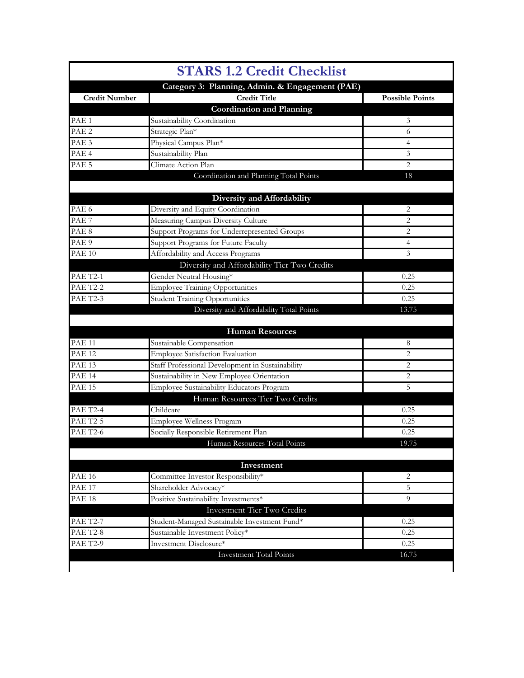|                      | <b>STARS 1.2 Credit Checklist</b>                       |                        |
|----------------------|---------------------------------------------------------|------------------------|
|                      | Category 3: Planning, Admin. & Engagement (PAE)         |                        |
| <b>Credit Number</b> | <b>Credit Title</b><br><b>Coordination and Planning</b> | <b>Possible Points</b> |
| PAE <sub>1</sub>     | Sustainability Coordination                             | 3                      |
| PAE <sub>2</sub>     | Strategic Plan*                                         | 6                      |
| PAE <sub>3</sub>     | Physical Campus Plan*                                   | 4                      |
| PAE <sub>4</sub>     | Sustainability Plan                                     | 3                      |
| PAE <sub>5</sub>     | Climate Action Plan                                     | 2                      |
|                      | Coordination and Planning Total Points                  | 18                     |
|                      | <b>Diversity and Affordability</b>                      |                        |
| PAE <sub>6</sub>     | Diversity and Equity Coordination                       | $\overline{2}$         |
| PAE <sub>7</sub>     | Measuring Campus Diversity Culture                      | $\overline{2}$         |
| PAE <sub>8</sub>     | Support Programs for Underrepresented Groups            | $\overline{2}$         |
| PAE <sub>9</sub>     | Support Programs for Future Faculty                     | 4                      |
| <b>PAE 10</b>        | Affordability and Access Programs                       | 3                      |
|                      | Diversity and Affordability Tier Two Credits            |                        |
| <b>PAE T2-1</b>      | Gender Neutral Housing*                                 | 0.25                   |
| <b>PAE T2-2</b>      | <b>Employee Training Opportunities</b>                  | 0.25                   |
| <b>PAE T2-3</b>      | <b>Student Training Opportunities</b>                   | 0.25                   |
|                      | Diversity and Affordability Total Points                | 13.75                  |
|                      | <b>Human Resources</b>                                  |                        |
| <b>PAE 11</b>        | Sustainable Compensation                                | 8                      |
| <b>PAE 12</b>        | Employee Satisfaction Evaluation                        | $\overline{c}$         |
| <b>PAE 13</b>        | Staff Professional Development in Sustainability        | $\overline{c}$         |
| <b>PAE 14</b>        | Sustainability in New Employee Orientation              | 2                      |
| <b>PAE 15</b>        | Employee Sustainability Educators Program               | 5                      |
|                      | Human Resources Tier Two Credits                        |                        |
| <b>PAE T2-4</b>      | Childcare                                               | 0.25                   |
| <b>PAE T2-5</b>      | Employee Wellness Program                               | 0.25                   |
| <b>PAE T2-6</b>      | Socially Responsible Retirement Plan                    | 0.25                   |
|                      | Human Resources Total Points                            | 19.75                  |
|                      | Investment                                              |                        |
| <b>PAE 16</b>        | Committee Investor Responsibility*                      | $\overline{2}$         |
| <b>PAE 17</b>        | Shareholder Advocacy*                                   | 5                      |
| <b>PAE 18</b>        | Positive Sustainability Investments*                    | 9                      |
|                      | Investment Tier Two Credits                             |                        |
| <b>PAE T2-7</b>      | Student-Managed Sustainable Investment Fund*            | 0.25                   |
| <b>PAE T2-8</b>      | Sustainable Investment Policy*                          | 0.25                   |
| <b>PAE T2-9</b>      | Investment Disclosure*                                  | 0.25                   |
|                      | <b>Investment Total Points</b>                          | 16.75                  |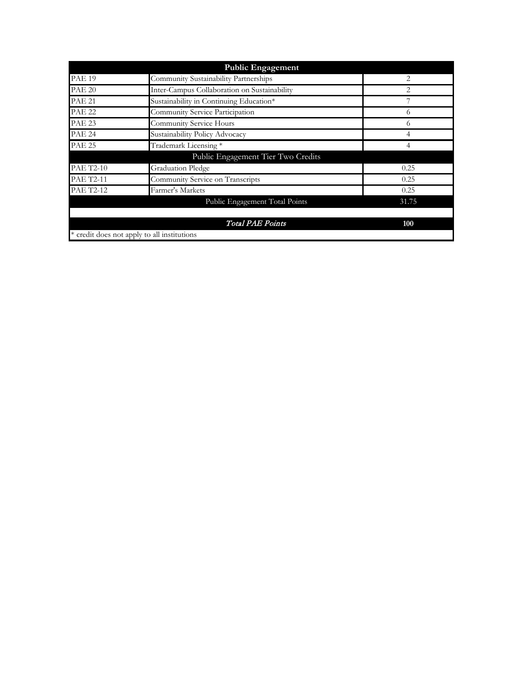|                  | <b>Public Engagement</b>                     |       |
|------------------|----------------------------------------------|-------|
| <b>PAE 19</b>    | Community Sustainability Partnerships        | 2     |
| <b>PAE 20</b>    | Inter-Campus Collaboration on Sustainability | 2     |
| <b>PAE 21</b>    | Sustainability in Continuing Education*      |       |
| <b>PAE 22</b>    | Community Service Participation              | 6     |
| <b>PAE 23</b>    | Community Service Hours                      | 6     |
| <b>PAE 24</b>    | Sustainability Policy Advocacy               | 4     |
| <b>PAE 25</b>    | Trademark Licensing *                        | 4     |
|                  | Public Engagement Tier Two Credits           |       |
| <b>PAE T2-10</b> | <b>Graduation Pledge</b>                     | 0.25  |
| <b>PAE T2-11</b> | Community Service on Transcripts             | 0.25  |
| <b>PAE T2-12</b> | Farmer's Markets                             | 0.25  |
|                  | Public Engagement Total Points               | 31.75 |
|                  | <b>Total PAE Points</b>                      | 100   |
|                  | * credit does not apply to all institutions  |       |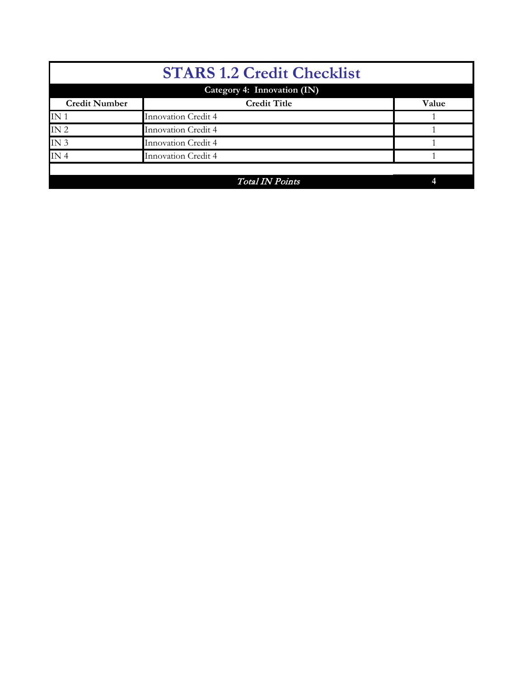| <b>STARS 1.2 Credit Checklist</b> |                             |       |  |  |  |  |
|-----------------------------------|-----------------------------|-------|--|--|--|--|
|                                   | Category 4: Innovation (IN) |       |  |  |  |  |
| <b>Credit Number</b>              | <b>Credit Title</b>         | Value |  |  |  |  |
| IN <sub>1</sub>                   | Innovation Credit 4         |       |  |  |  |  |
| IN <sub>2</sub>                   | Innovation Credit 4         |       |  |  |  |  |
| IN <sub>3</sub>                   | Innovation Credit 4         |       |  |  |  |  |
| IN <sub>4</sub>                   | <b>Innovation Credit 4</b>  |       |  |  |  |  |
|                                   |                             |       |  |  |  |  |
|                                   | <b>Total IN Points</b>      |       |  |  |  |  |